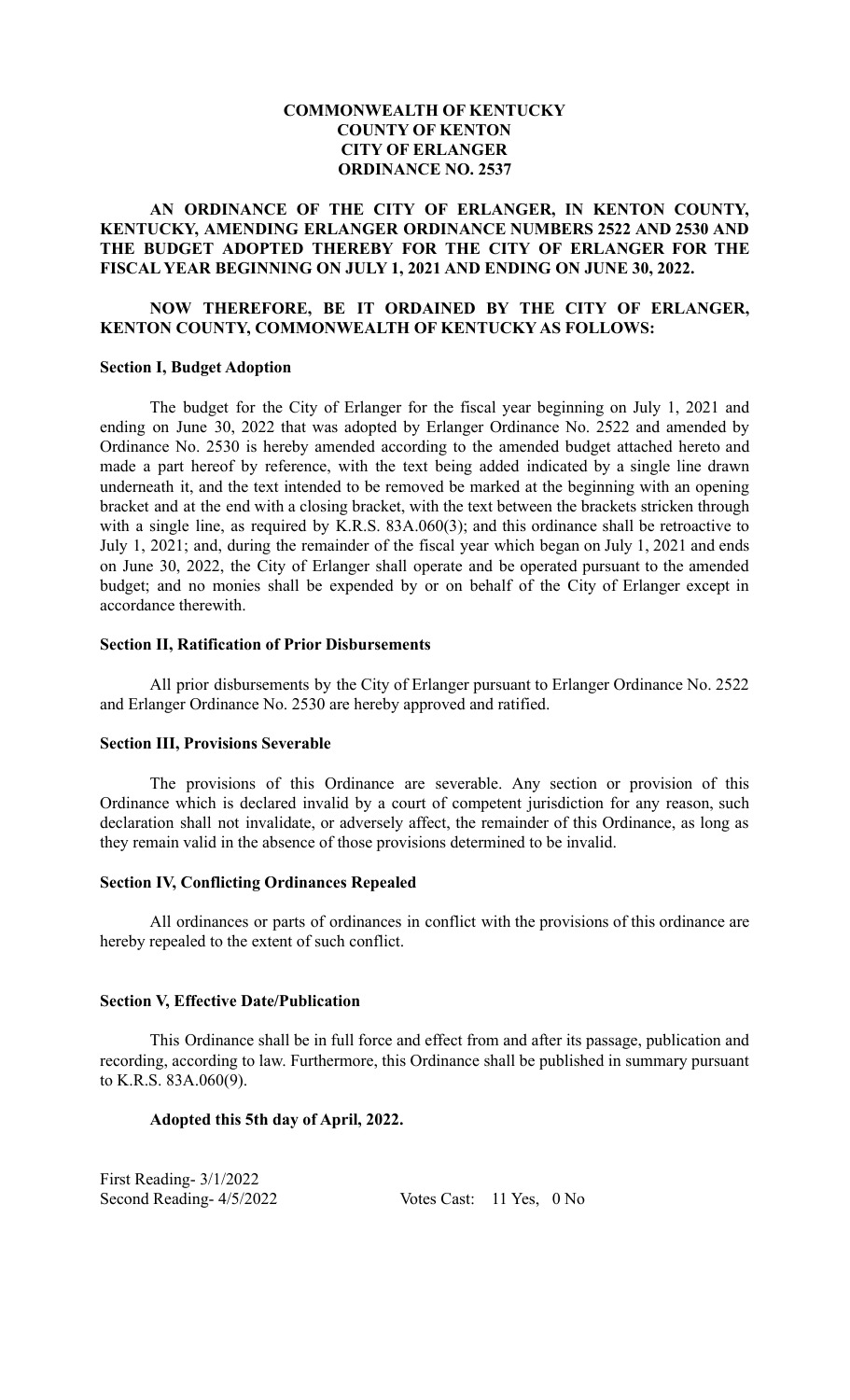# **COMMONWEALTH OF KENTUCKY COUNTY OF KENTON CITY OF ERLANGER ORDINANCE NO. 2537**

## **AN ORDINANCE OF THE CITY OF ERLANGER, IN KENTON COUNTY, KENTUCKY, AMENDING ERLANGER ORDINANCE NUMBERS 2522 AND 2530 AND THE BUDGET ADOPTED THEREBY FOR THE CITY OF ERLANGER FOR THE FISCAL YEAR BEGINNING ON JULY 1, 2021 AND ENDING ON JUNE 30, 2022.**

# **NOW THEREFORE, BE IT ORDAINED BY THE CITY OF ERLANGER, KENTON COUNTY, COMMONWEALTH OF KENTUCKY AS FOLLOWS:**

#### **Section I, Budget Adoption**

The budget for the City of Erlanger for the fiscal year beginning on July 1, 2021 and ending on June 30, 2022 that was adopted by Erlanger Ordinance No. 2522 and amended by Ordinance No. 2530 is hereby amended according to the amended budget attached hereto and made a part hereof by reference, with the text being added indicated by a single line drawn underneath it, and the text intended to be removed be marked at the beginning with an opening bracket and at the end with a closing bracket, with the text between the brackets stricken through with a single line, as required by K.R.S. 83A.060(3); and this ordinance shall be retroactive to July 1, 2021; and, during the remainder of the fiscal year which began on July 1, 2021 and ends on June 30, 2022, the City of Erlanger shall operate and be operated pursuant to the amended budget; and no monies shall be expended by or on behalf of the City of Erlanger except in accordance therewith.

#### **Section II, Ratification of Prior Disbursements**

All prior disbursements by the City of Erlanger pursuant to Erlanger Ordinance No. 2522 and Erlanger Ordinance No. 2530 are hereby approved and ratified.

#### **Section III, Provisions Severable**

The provisions of this Ordinance are severable. Any section or provision of this Ordinance which is declared invalid by a court of competent jurisdiction for any reason, such declaration shall not invalidate, or adversely affect, the remainder of this Ordinance, as long as they remain valid in the absence of those provisions determined to be invalid.

#### **Section IV, Conflicting Ordinances Repealed**

All ordinances or parts of ordinances in conflict with the provisions of this ordinance are hereby repealed to the extent of such conflict.

# **Section V, Effective Date/Publication**

This Ordinance shall be in full force and effect from and after its passage, publication and recording, according to law. Furthermore, this Ordinance shall be published in summary pursuant to K.R.S. 83A.060(9).

#### **Adopted this 5th day of April, 2022.**

First Reading- 3/1/2022

Second Reading-  $4/5/2022$  Votes Cast: 11 Yes, 0 No